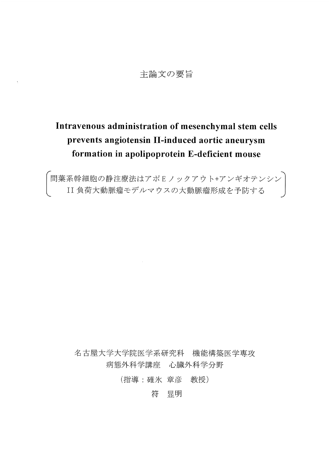# 主論文の要旨

 $\bar{\chi}$ 

# Intravenous administration of mesenchymal stem cells prevents angiotensin II-induced aortic aneurysm formation in apolipoprotein E-deficient mouse

「間葉系幹細胞の静注療法はアポEノックアウト+アンギオテンシン)<br>⊂ II 負荷大動脈瘤モデルマウスの大動脈瘤形成を予防する )

名古屋大学大学院医学系研究科 機能構築医学専攻 病態外科学講座 心臓外科学分野

(指導:碓氷 章彦 教授)

符 显明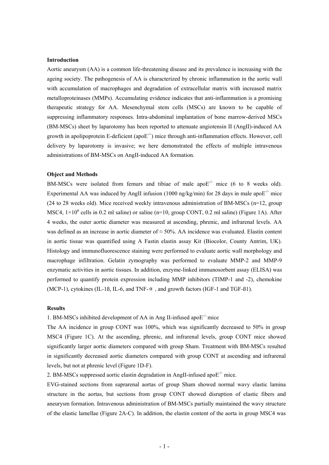## **Introduction**

Aortic aneurysm (AA) is a common life-threatening disease and its prevalence is increasing with the ageing society. The pathogenesis of AA is characterized by chronic inflammation in the aortic wall with accumulation of macrophages and degradation of extracellular matrix with increased matrix metalloproteinases (MMPs). Accumulating evidence indicates that anti-inflammation is a promising therapeutic strategy for AA. Mesenchymal stem cells (MSCs) are known to be capable of suppressing inflammatory responses. Intra-abdominal implantation of bone marrow-derived MSCs (BM-MSCs) sheet by laparotomy has been reported to attenuate angiotensin II (AngII)-induced AA growth in apolipoprotein E-deficient (apo $E^{-/2}$ ) mice through anti-inflammation effects. However, cell delivery by laparotomy is invasive; we here demonstrated the effects of multiple intravenous administrations of BM-MSCs on AngII-induced AA formation.

# **Object and Methods**

BM-MSCs were isolated from femurs and tibiae of male apo $E^{-/-}$  mice (6 to 8 weeks old). Experimental AA was induced by AngII infusion (1000 ng/kg/min) for 28 days in male apo $E^{-/-}$  mice (24 to 28 weeks old). Mice received weekly intravenous administration of BM-MSCs (n=12, group MSC4,  $1 \times 10^6$  cells in 0.2 ml saline) or saline (n=10, group CONT, 0.2 ml saline) (Figure 1A). After 4 weeks, the outer aortic diameter was measured at ascending, phrenic, and infrarenal levels. AA was defined as an increase in aortic diameter of ≈ 50%. AA incidence was evaluated. Elastin content in aortic tissue was quantified using A Fastin elastin assay Kit (Biocolor, County Antrim, UK). Histology and immunofluorescence staining were performed to evaluate aortic wall morphology and macrophage infiltration. Gelatin zymography was performed to evaluate MMP-2 and MMP-9 enzymatic activities in aortic tissues. In addition, enzyme-linked immunosorbent assay (ELISA) was performed to quantify protein expression including MMP inhibitors (TIMP-1 and -2), chemokine (MCP-1), cytokines (IL-1ß, IL-6, and TNF- $\alpha$ , and growth factors (IGF-1 and TGF-ß1).

### **Results**

1. BM-MSCs inhibited development of AA in Ang II-infused apo $E^{-1}$  mice

The AA incidence in group CONT was 100%, which was significantly decreased to 50% in group MSC4 (Figure 1C). At the ascending, phrenic, and infrarenal levels, group CONT mice showed significantly larger aortic diameters compared with group Sham. Treatment with BM-MSCs resulted in significantly decreased aortic diameters compared with group CONT at ascending and infrarenal levels, but not at phrenic level (Figure 1D-F).

2. BM-MSCs suppressed aortic elastin degradation in AngII-infused apo $E^{-/-}$  mice.

EVG-stained sections from suprarenal aortas of group Sham showed normal wavy elastic lamina structure in the aortas, but sections from group CONT showed disruption of elastic fibers and aneurysm formation. Intravenous administration of BM-MSCs partially maintained the wavy structure of the elastic lamellae (Figure 2A-C). In addition, the elastin content of the aorta in group MSC4 was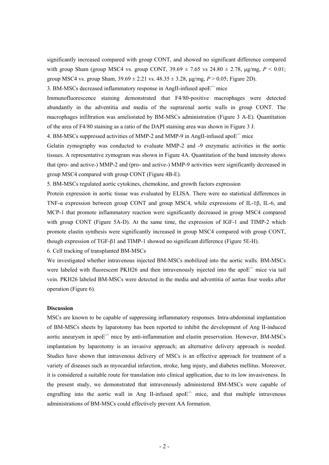significantly increased compared with group CONT, and showed no significant difference compared with group Sham (group MSC4 vs. group CONT,  $39.69 \pm 7.65$  vs  $24.80 \pm 2.78$ ,  $\mu$ g/mg,  $P < 0.01$ ; group MSC4 vs. group Sham,  $39.69 \pm 2.21$  vs.  $48.35 \pm 3.28$ ,  $\mu$ g/mg,  $P > 0.05$ ; Figure 2D).

3. BM-MSCs decreased inflammatory response in AngII-infused apo $E^{-/-}$  mice

Immunofluorescence staining demonstrated that F4/80-positive macrophages were detected abundantly in the adventitia and media of the suprarenal aortic walls in group CONT. The macrophages infiltration was ameliorated by BM-MSCs administration (Figure 3 A-E). Quantitation of the area of F4/80 staining as a ratio of the DAPI staining area was shown in Figure 3 J.

4. BM-MSCs suppressed activities of MMP-2 and MMP-9 in AngII-infused apo $E^{-/-}$  mice

Gelatin zymography was conducted to evaluate MMP-2 and -9 enzymatic activities in the aortic tissues. A representative zymogram was shown in Figure 4A. Quantitation of the band intensity shows that (pro- and active-) MMP-2 and (pro- and active-) MMP-9 activities were significantly decreased in group MSC4 compared with group CONT (Figure 4B-E).

5. BM-MSCs regulated aortic cytokines, chemokine, and growth factors expression

Protein expression in aortic tissue was evaluated by ELISA. There were no statistical differences in TNF-α expression between group CONT and group MSC4, while expressions of IL-1β, IL-6, and MCP-1 that promote inflammatory reaction were significantly decreased in group MSC4 compared with group CONT (Figure 5A-D). At the same time, the expression of IGF-1 and TIMP-2 which promote elastin synthesis were significantly increased in group MSC4 compared with group CONT, though expression of TGF-β1 and TIMP-1 showed no significant difference (Figure 5E-H).

6. Cell tracking of transplanted BM-MSCs

We investigated whether intravenous injected BM-MSCs mobilized into the aortic walls. BM-MSCs were labeled with fluorescent PKH26 and then intravenously injected into the apo $E^{-/-}$  mice via tail vein. PKH26 labeled BM-MSCs were detected in the media and adventitia of aortas four weeks after operation (Figure 6).

#### **Discussion**

MSCs are known to be capable of suppressing inflammatory responses. Intra-abdominal implantation of BM-MSCs sheets by laparotomy has been reported to inhibit the development of Ang II-induced aortic aneurysm in apo $E^{-}$  mice by anti-inflammation and elastin preservation. However, BM-MSCs implantation by laparotomy is an invasive approach; an alternative delivery approach is needed. Studies have shown that intravenous delivery of MSCs is an effective approach for treatment of a variety of diseases such as myocardial infarction, stroke, lung injury, and diabetes mellitus. Moreover, it is considered a suitable route for translation into clinical application, due to its low invasiveness. In the present study, we demonstrated that intravenously administered BM-MSCs were capable of engrafting into the aortic wall in Ang II-infused apo $E^{-/-}$  mice, and that multiple intravenous administrations of BM-MSCs could effectively prevent AA formation.